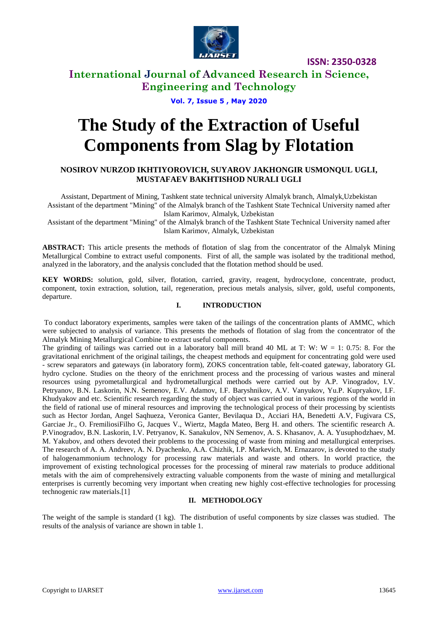

**ISSN: 2350-0328**

### **International Journal of Advanced Research in Science, Engineering and Technology**

**Vol. 7, Issue 5 , May 2020**

# **The Study of the Extraction of Useful Components from Slag by Flotation**

### **NOSIROV NURZOD IKHTIYOROVICH, SUYAROV JAKHONGIR USMONQUL UGLI, MUSTAFAEV BAKHTISHOD NURALI UGLI**

Assistant, Department of Mining, Tashkent state technical university Almalyk branch, Almalyk,Uzbekistan Assistant of the department "Mining" of the Almalyk branch of the Tashkent State Technical University named after

Islam Karimov, Almalyk, Uzbekistan

Assistant of the department "Mining" of the Almalyk branch of the Tashkent State Technical University named after Islam Karimov, Almalyk, Uzbekistan

**ABSTRACT:** This article presents the methods of flotation of slag from the concentrator of the Almalyk Mining Metallurgical Combine to extract useful components. First of all, the sample was isolated by the traditional method, analyzed in the laboratory, and the analysis concluded that the flotation method should be used.

**KEY WORDS:** solution, gold, silver, flotation, carried, gravity, reagent, hydrocyclone, concentrate, product, component, toxin extraction, solution, tail, regeneration, precious metals analysis, silver, gold, useful components, departure.

### **I. INTRODUCTION**

To conduct laboratory experiments, samples were taken of the tailings of the concentration plants of AMMC, which were subjected to analysis of variance. This presents the methods of flotation of slag from the concentrator of the Almalyk Mining Metallurgical Combine to extract useful components.

The grinding of tailings was carried out in a laboratory ball mill brand 40 ML at T: W:  $W = 1$ : 0.75: 8. For the gravitational enrichment of the original tailings, the cheapest methods and equipment for concentrating gold were used - screw separators and gateways (in laboratory form), ZOKS concentration table, felt-coated gateway, laboratory GL hydro cyclone. Studies on the theory of the enrichment process and the processing of various wastes and mineral resources using pyrometallurgical and hydrometallurgical methods were carried out by A.P. Vinogradov, I.V. Petryanov, B.N. Laskorin, N.N. Semenov, E.V. Adamov, I.F. Baryshnikov, A.V. Vanyukov, Yu.P. Kupryakov, I.F. Khudyakov and etc. Scientific research regarding the study of object was carried out in various regions of the world in the field of rational use of mineral resources and improving the technological process of their processing by scientists such as Hector Jordan, Angel Saqhueza, Veronica Ganter, Bevilaqua D., Acciari HA, Benedetti A.V, Fugivara CS, Garciae Jr., O. FremiliosiFilho G, Jacques V., Wiertz, Magda Mateo, Berg H. and others. The scientific research A. P.Vinogradov, B.N. Laskorin, I.V. Petryanov, K. Sanakulov, NN Semenov, A. S. Khasanov, A. A. Yusuphodzhaev, M. M. Yakubov, and others devoted their problems to the processing of waste from mining and metallurgical enterprises. The research of A. A. Andreev, A. N. Dyachenko, A.A. Chizhik, I.P. Markevich, M. Ernazarov, is devoted to the study of halogenammonium technology for processing raw materials and waste and others. In world practice, the improvement of existing technological processes for the processing of mineral raw materials to produce additional metals with the aim of comprehensively extracting valuable components from the waste of mining and metallurgical enterprises is currently becoming very important when creating new highly cost-effective technologies for processing technogenic raw materials.[1]

#### **II. METHODOLOGY**

The weight of the sample is standard (1 kg). The distribution of useful components by size classes was studied. The results of the analysis of variance are shown in table 1.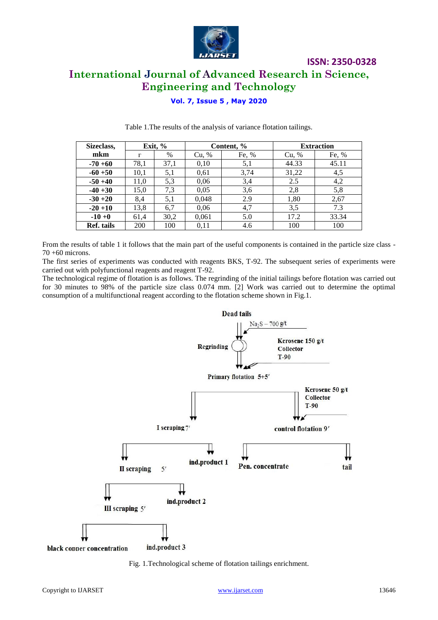

## **ISSN: 2350-0328 International Journal of Advanced Research in Science, Engineering and Technology**

### **Vol. 7, Issue 5 , May 2020**

| Sizeclass, |      | Exit, % | Content, % |       | <b>Extraction</b> |       |
|------------|------|---------|------------|-------|-------------------|-------|
| mkm        | г    | %       | Cu, %      | Fe, % | Cu, %             | Fe, % |
| $-70+60$   | 78,1 | 37,1    | 0,10       | 5,1   | 44.33             | 45.11 |
| $-60 + 50$ | 10,1 | 5,1     | 0.61       | 3,74  | 31,22             | 4,5   |
| $-50 + 40$ | 11,0 | 5,3     | 0,06       | 3,4   | 2.5               | 4,2   |
| $-40+30$   | 15,0 | 7.3     | 0.05       | 3,6   | 2,8               | 5,8   |
| $-30 + 20$ | 8,4  | 5,1     | 0,048      | 2.9   | 1,80              | 2,67  |
| $-20+10$   | 13,8 | 6,7     | 0,06       | 4,7   | 3,5               | 7.3   |
| $-10+0$    | 61,4 | 30,2    | 0,061      | 5.0   | 17.2              | 33.34 |
| Ref. tails | 200  | 100     | 0,11       | 4.6   | 100               | 100   |

Table 1.The results of the analysis of variance flotation tailings.

From the results of table 1 it follows that the main part of the useful components is contained in the particle size class - 70 +60 microns.

The first series of experiments was conducted with reagents BKS, T-92. The subsequent series of experiments were carried out with polyfunctional reagents and reagent T-92.

The technological regime of flotation is as follows. The regrinding of the initial tailings before flotation was carried out for 30 minutes to 98% of the particle size class 0.074 mm. [2] Work was carried out to determine the optimal consumption of a multifunctional reagent according to the flotation scheme shown in Fig.1.



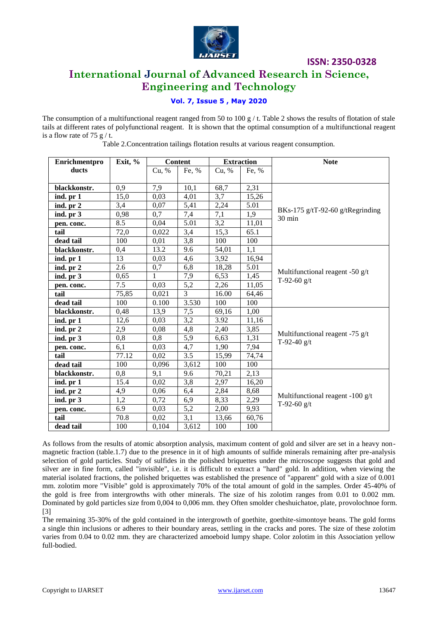

**ISSN: 2350-0328**

### **International Journal of Advanced Research in Science, Engineering and Technology**

### **Vol. 7, Issue 5 , May 2020**

The consumption of a multifunctional reagent ranged from 50 to 100 g  $/$  t. Table 2 shows the results of flotation of stale tails at different rates of polyfunctional reagent. It is shown that the optimal consumption of a multifunctional reagent is a flow rate of 75  $g/t$ .

| Enrichmentpro | Exit, % |       | <b>Content</b>   | <b>Extraction</b> |       | <b>Note</b>                                         |  |  |
|---------------|---------|-------|------------------|-------------------|-------|-----------------------------------------------------|--|--|
| ducts         |         | Cu, % | Fe, %            | Cu, %             | Fe, % |                                                     |  |  |
|               |         |       |                  |                   |       |                                                     |  |  |
| blackkonstr.  | 0,9     | 7,9   | 10,1             | 68,7              | 2,31  |                                                     |  |  |
| ind. pr 1     | 15,0    | 0,03  | 4,01             | 3,7               | 15,26 | BKs-175 g/tT-92-60 g/tRegrinding<br>30 min          |  |  |
| ind. pr 2     | 3,4     | 0,07  | 5,41             | 2,24              | 5.01  |                                                     |  |  |
| ind. pr 3     | 0,98    | 0,7   | 7,4              | 7,1               | 1,9   |                                                     |  |  |
| pen. conc.    | 8.5     | 0.04  | 5.01             | 3,2               | 11,01 |                                                     |  |  |
| tail          | 72,0    | 0,022 | 3,4              | 15,3              | 65.1  |                                                     |  |  |
| dead tail     | 100     | 0,01  | 3,8              | 100               | 100   |                                                     |  |  |
| blackkonstr.  | 0,4     | 13.2  | 9.6              | 54,01             | 1,1   |                                                     |  |  |
| ind. pr 1     | 13      | 0,03  | 4,6              | 3,92              | 16,94 |                                                     |  |  |
| ind. pr 2     | 2.6     | 0,7   | 6,8              | 18,28             | 5.01  |                                                     |  |  |
| ind. pr 3     | 0,65    | 1     | 7,9              | 6,53              | 1,45  | Multifunctional reagent -50 $g/t$<br>T-92-60 $g/t$  |  |  |
| pen. conc.    | 7.5     | 0,03  | 5,2              | 2,26              | 11,05 |                                                     |  |  |
| tail          | 75,85   | 0,021 | $\overline{3}$   | 16.00             | 64,46 |                                                     |  |  |
| dead tail     | 100     | 0.100 | 3.530            | 100               | 100   |                                                     |  |  |
| blackkonstr.  | 0,48    | 13,9  | 7,5              | 69,16             | 1,00  |                                                     |  |  |
| ind. pr 1     | 12,6    | 0,03  | 3,2              | 3.92              | 11,16 |                                                     |  |  |
| ind. pr 2     | 2,9     | 0,08  | 4,8              | 2,40              | 3,85  |                                                     |  |  |
| ind. pr 3     | 0,8     | 0,8   | 5,9              | 6,63              | 1,31  | Multifunctional reagent -75 $g/t$<br>T-92-40 $g/t$  |  |  |
| pen. conc.    | 6,1     | 0,03  | 4,7              | 1,90              | 7,94  |                                                     |  |  |
| tail          | 77.12   | 0.02  | $\overline{3.5}$ | 15,99             | 74,74 |                                                     |  |  |
| dead tail     | 100     | 0,096 | 3,612            | 100               | 100   |                                                     |  |  |
| blackkonstr.  | 0,8     | 9,1   | 9.6              | 70,21             | 2,13  |                                                     |  |  |
| ind. pr 1     | 15.4    | 0,02  | 3,8              | 2,97              | 16,20 | Multifunctional reagent -100 $g/t$<br>T-92-60 $g/t$ |  |  |
| ind. pr 2     | 4,9     | 0,06  | 6,4              | 2,84              | 8,68  |                                                     |  |  |
| ind. pr 3     | 1,2     | 0,72  | 6,9              | 8,33              | 2,29  |                                                     |  |  |
| pen. conc.    | 6.9     | 0,03  | 5,2              | 2,00              | 9,93  |                                                     |  |  |
| tail          | 70.8    | 0,02  | 3,1              | 13,66             | 60,76 |                                                     |  |  |
| dead tail     | 100     | 0,104 | 3,612            | 100               | 100   |                                                     |  |  |

Table 2.Concentration tailings flotation results at various reagent consumption.

As follows from the results of atomic absorption analysis, maximum content of gold and silver are set in a heavy nonmagnetic fraction (table.1.7) due to the presence in it of high amounts of sulfide minerals remaining after pre-analysis selection of gold particles. Study of sulfides in the polished briquettes under the microscope suggests that gold and silver are in fine form, called "invisible", i.e. it is difficult to extract a "hard" gold. In addition, when viewing the material isolated fractions, the polished briquettes was established the presence of "apparent" gold with a size of 0.001 mm. zolotim more "Visible" gold is approximately 70% of the total amount of gold in the samples. Order 45-40% of the gold is free from intergrowths with other minerals. The size of his zolotim ranges from 0.01 to 0.002 mm. Dominated by gold particles size from 0,004 to 0,006 mm. they Often smolder cheshuichatoe, plate, provolochnoe form. [3]

The remaining 35-30% of the gold contained in the intergrowth of goethite, goethite-simontoye beans. The gold forms a single thin inclusions or adheres to their boundary areas, settling in the cracks and pores. The size of these zolotim varies from 0.04 to 0.02 mm. they are characterized amoeboid lumpy shape. Color zolotim in this Association yellow full-bodied.